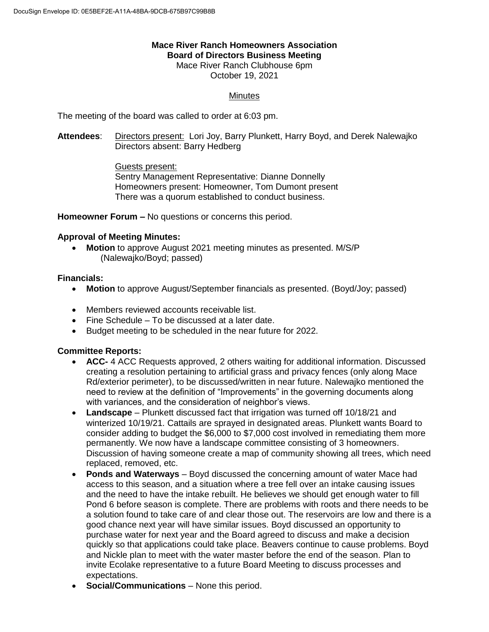# **Mace River Ranch Homeowners Association Board of Directors Business Meeting**

Mace River Ranch Clubhouse 6pm October 19, 2021

## **Minutes**

The meeting of the board was called to order at 6:03 pm.

**Attendees**: Directors present: Lori Joy, Barry Plunkett, Harry Boyd, and Derek Nalewajko Directors absent: Barry Hedberg

> Guests present: Sentry Management Representative: Dianne Donnelly Homeowners present: Homeowner, Tom Dumont present There was a quorum established to conduct business.

**Homeowner Forum –** No questions or concerns this period.

#### **Approval of Meeting Minutes:**

 **Motion** to approve August 2021 meeting minutes as presented. M/S/P (Nalewajko/Boyd; passed)

#### **Financials:**

- **Motion** to approve August/September financials as presented. (Boyd/Joy; passed)
- Members reviewed accounts receivable list.
- Fine Schedule To be discussed at a later date.
- Budget meeting to be scheduled in the near future for 2022.

#### **Committee Reports:**

- **ACC-** 4 ACC Requests approved, 2 others waiting for additional information. Discussed creating a resolution pertaining to artificial grass and privacy fences (only along Mace Rd/exterior perimeter), to be discussed/written in near future. Nalewajko mentioned the need to review at the definition of "Improvements" in the governing documents along with variances, and the consideration of neighbor's views.
- **Landscape** Plunkett discussed fact that irrigation was turned off 10/18/21 and winterized 10/19/21. Cattails are sprayed in designated areas. Plunkett wants Board to consider adding to budget the \$6,000 to \$7,000 cost involved in remediating them more permanently. We now have a landscape committee consisting of 3 homeowners. Discussion of having someone create a map of community showing all trees, which need replaced, removed, etc.
- **Ponds and Waterways** Boyd discussed the concerning amount of water Mace had access to this season, and a situation where a tree fell over an intake causing issues and the need to have the intake rebuilt. He believes we should get enough water to fill Pond 6 before season is complete. There are problems with roots and there needs to be a solution found to take care of and clear those out. The reservoirs are low and there is a good chance next year will have similar issues. Boyd discussed an opportunity to purchase water for next year and the Board agreed to discuss and make a decision quickly so that applications could take place. Beavers continue to cause problems. Boyd and Nickle plan to meet with the water master before the end of the season. Plan to invite Ecolake representative to a future Board Meeting to discuss processes and expectations.
- **Social/Communications**  None this period.